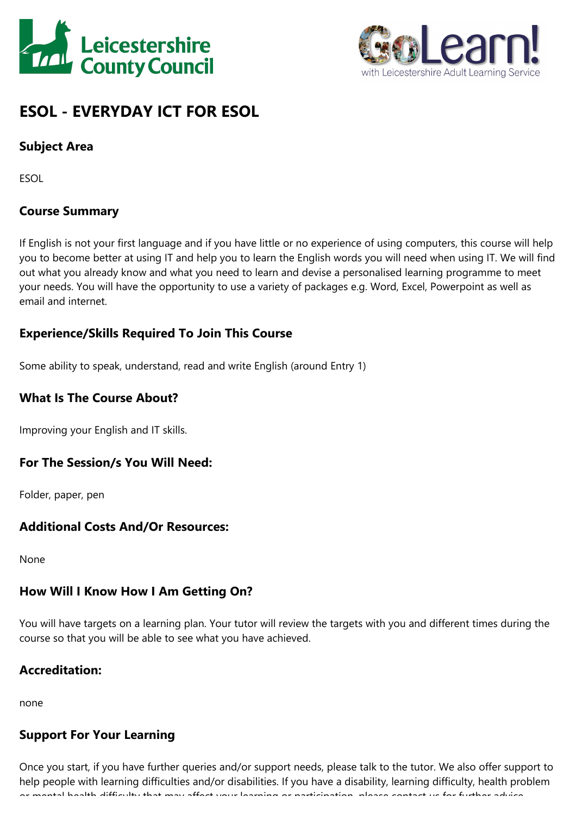



# **ESOL - EVERYDAY ICT FOR ESOL**

# **Subject Area**

ESOL

# **Course Summary**

If English is not your first language and if you have little or no experience of using computers, this course will help you to become better at using IT and help you to learn the English words you will need when using IT. We will find out what you already know and what you need to learn and devise <sup>a</sup> personalised learning programme to meet your needs. You will have the opportunity to use <sup>a</sup> variety of packages e.g. Word, Excel, Powerpoint as well as email and internet.

## **Experience/Skills Required To Join This Course**

Some ability to speak, understand, read and write English (around Entry 1)

## **What Is The Course About?**

Improving your English and IT skills.

#### **For The Session/s You Will Need:**

Folder, paper, pen

## **Additional Costs And/Or Resources:**

None

#### **How Will I Know How I Am Getting On?**

You will have targets on <sup>a</sup> learning plan. Your tutor will review the targets with you and different times during the course so that you will be able to see what you have achieved.

## **Accreditation:**

none

## **Support For Your Learning**

Once you start, if you have further queries and/or support needs, please talk to the tutor. We also offer support to help people with learning difficulties and/or disabilities. If you have <sup>a</sup> disability, learning difficulty, health problem or mental health difficulty that may affect your learning or participation, please contact us for further advice.